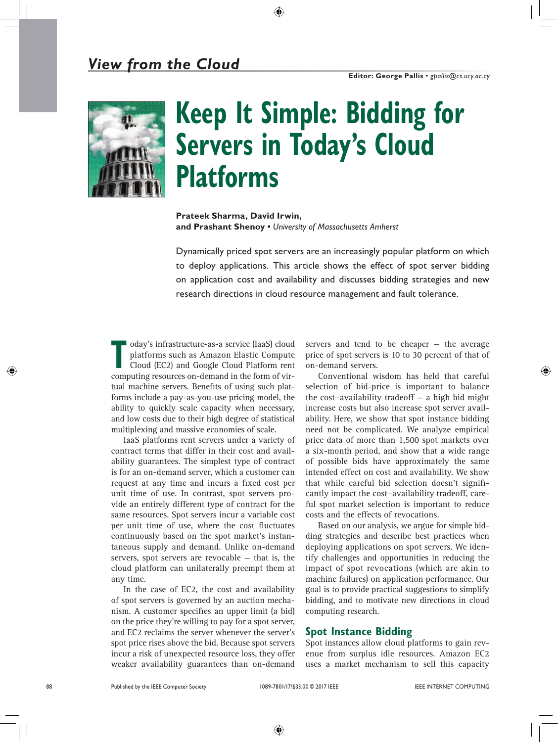

# **Keep It Simple: Bidding for Servers in Today's Cloud Platforms**

**Prateek Sharma, David Irwin, and Prashant Shenoy •** *University of Massachusetts Amherst*

Dynamically priced spot servers are an increasingly popular platform on which to deploy applications. This article shows the effect of spot server bidding on application cost and availability and discusses bidding strategies and new research directions in cloud resource management and fault tolerance.

**THE oday's infrastructure-as-a service (IaaS) cloud platforms such as Amazon Elastic Compute Cloud (EC2) and Google Cloud Platform rent** platforms such as Amazon Elastic Compute computing resources on-demand in the form of virtual machine servers. Benefits of using such platforms include a pay-as-you-use pricing model, the ability to quickly scale capacity when necessary, and low costs due to their high degree of statistical multiplexing and massive economies of scale.

IaaS platforms rent servers under a variety of contract terms that differ in their cost and availability guarantees. The simplest type of contract is for an on-demand server, which a customer can request at any time and incurs a fixed cost per unit time of use. In contrast, spot servers provide an entirely different type of contract for the same resources. Spot servers incur a variable cost per unit time of use, where the cost fluctuates continuously based on the spot market's instantaneous supply and demand. Unlike on-demand servers, spot servers are revocable — that is, the cloud platform can unilaterally preempt them at any time.

In the case of EC2, the cost and availability of spot servers is governed by an auction mechanism. A customer specifies an upper limit (a bid) on the price they're willing to pay for a spot server, and EC2 reclaims the server whenever the server's spot price rises above the bid. Because spot servers incur a risk of unexpected resource loss, they offer weaker availability guarantees than on-demand servers and tend to be cheaper — the average price of spot servers is 10 to 30 percent of that of on-demand servers.

Conventional wisdom has held that careful selection of bid-price is important to balance the cost−availability tradeoff — a high bid might increase costs but also increase spot server availability. Here, we show that spot instance bidding need not be complicated. We analyze empirical price data of more than 1,500 spot markets over a six-month period, and show that a wide range of possible bids have approximately the same intended effect on cost and availability. We show that while careful bid selection doesn't significantly impact the cost−availability tradeoff, careful spot market selection is important to reduce costs and the effects of revocations.

Based on our analysis, we argue for simple bidding strategies and describe best practices when deploying applications on spot servers. We identify challenges and opportunities in reducing the impact of spot revocations (which are akin to machine failures) on application performance. Our goal is to provide practical suggestions to simplify bidding, and to motivate new directions in cloud computing research.

# **Spot Instance Bidding**

Spot instances allow cloud platforms to gain revenue from surplus idle resources. Amazon EC2 uses a market mechanism to sell this capacity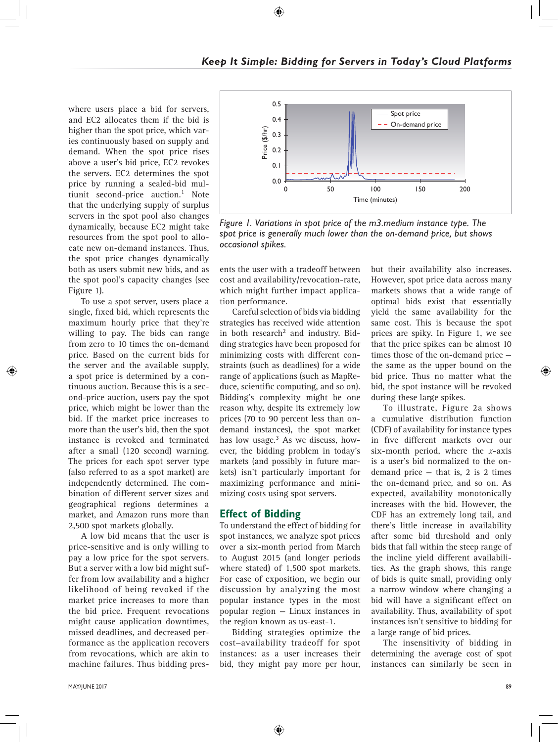where users place a bid for servers, and EC2 allocates them if the bid is higher than the spot price, which varies continuously based on supply and demand. When the spot price rises above a user's bid price, EC2 revokes the servers. EC2 determines the spot price by running a sealed-bid multiunit second-price auction.<sup>1</sup> Note that the underlying supply of surplus servers in the spot pool also changes dynamically, because EC2 might take resources from the spot pool to allocate new on-demand instances. Thus, the spot price changes dynamically both as users submit new bids, and as the spot pool's capacity changes (see Figure 1).

To use a spot server, users place a single, fixed bid, which represents the maximum hourly price that they're willing to pay. The bids can range from zero to 10 times the on-demand price. Based on the current bids for the server and the available supply, a spot price is determined by a continuous auction. Because this is a second-price auction, users pay the spot price, which might be lower than the bid. If the market price increases to more than the user's bid, then the spot instance is revoked and terminated after a small (120 second) warning. The prices for each spot server type (also referred to as a spot market) are independently determined. The combination of different server sizes and geographical regions determines a market, and Amazon runs more than 2,500 spot markets globally.

A low bid means that the user is price-sensitive and is only willing to pay a low price for the spot servers. But a server with a low bid might suffer from low availability and a higher likelihood of being revoked if the market price increases to more than the bid price. Frequent revocations might cause application downtimes, missed deadlines, and decreased performance as the application recovers from revocations, which are akin to machine failures. Thus bidding pres-



*Figure 1. Variations in spot price of the m3.medium instance type. The spot price is generally much lower than the on-demand price, but shows* 

ents the user with a tradeoff between cost and availability/revocation-rate, which might further impact application performance.

Careful selection of bids via bidding strategies has received wide attention in both research<sup>2</sup> and industry. Bidding strategies have been proposed for minimizing costs with different constraints (such as deadlines) for a wide range of applications (such as MapReduce, scientific computing, and so on). Bidding's complexity might be one reason why, despite its extremely low prices (70 to 90 percent less than ondemand instances), the spot market has low usage. $3$  As we discuss, however, the bidding problem in today's markets (and possibly in future markets) isn't particularly important for maximizing performance and minimizing costs using spot servers.

# **Effect of Bidding**

To understand the effect of bidding for spot instances, we analyze spot prices over a six-month period from March to August 2015 (and longer periods where stated) of 1,500 spot markets. For ease of exposition, we begin our discussion by analyzing the most popular instance types in the most popular region — Linux instances in the region known as us-east-1.

Bidding strategies optimize the cost−availability tradeoff for spot instances: as a user increases their bid, they might pay more per hour,

but their availability also increases. However, spot price data across many markets shows that a wide range of optimal bids exist that essentially yield the same availability for the same cost. This is because the spot prices are spiky. In Figure 1, we see that the price spikes can be almost 10 times those of the on-demand price the same as the upper bound on the bid price. Thus no matter what the bid, the spot instance will be revoked during these large spikes.

To illustrate, Figure 2a shows a cumulative distribution function (CDF) of availability for instance types in five different markets over our six-month period, where the *x*-axis is a user's bid normalized to the ondemand price  $-$  that is, 2 is 2 times the on-demand price, and so on. As expected, availability monotonically increases with the bid. However, the CDF has an extremely long tail, and there's little increase in availability after some bid threshold and only bids that fall within the steep range of the incline yield different availabilities. As the graph shows, this range of bids is quite small, providing only a narrow window where changing a bid will have a significant effect on availability. Thus, availability of spot instances isn't sensitive to bidding for a large range of bid prices.

The insensitivity of bidding in determining the average cost of spot instances can similarly be seen in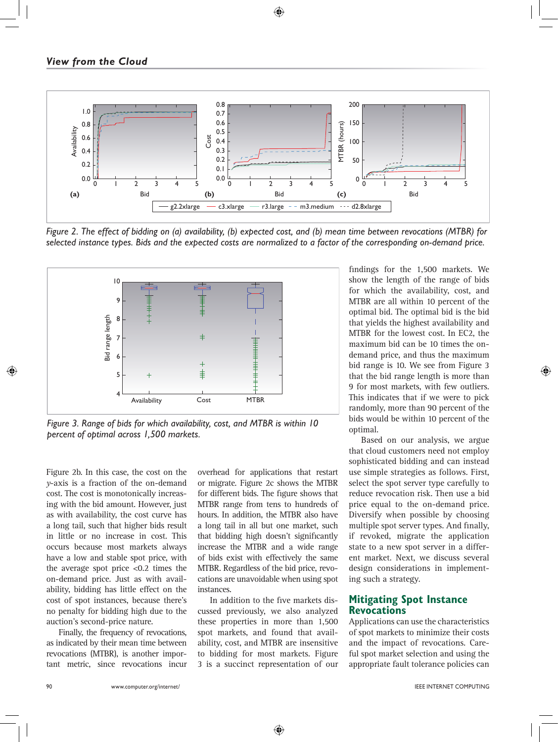

*Figure 2. The effect of bidding on (a) availability, (b) expected cost, and (b) mean time between revocations (MTBR) for selected instance types. Bids and the expected costs are normalized to a factor of the corresponding on-demand price.*



*Figure 3. Range of bids for which availability, cost, and MTBR is within 10* 

Figure 2b. In this case, the cost on the *y*-axis is a fraction of the on-demand cost. The cost is monotonically increasing with the bid amount. However, just as with availability, the cost curve has a long tail, such that higher bids result in little or no increase in cost. This occurs because most markets always have a low and stable spot price, with the average spot price <0.2 times the on-demand price. Just as with availability, bidding has little effect on the cost of spot instances, because there's no penalty for bidding high due to the auction's second-price nature.

Finally, the frequency of revocations, as indicated by their mean time between revocations (MTBR), is another important metric, since revocations incur

overhead for applications that restart or migrate. Figure 2c shows the MTBR for different bids. The figure shows that MTBR range from tens to hundreds of hours. In addition, the MTBR also have a long tail in all but one market, such that bidding high doesn't significantly increase the MTBR and a wide range of bids exist with effectively the same MTBR. Regardless of the bid price, revocations are unavoidable when using spot instances.

In addition to the five markets discussed previously, we also analyzed these properties in more than 1,500 spot markets, and found that availability, cost, and MTBR are insensitive to bidding for most markets. Figure 3 is a succinct representation of our

findings for the 1,500 markets. We show the length of the range of bids for which the availability, cost, and MTBR are all within 10 percent of the optimal bid. The optimal bid is the bid that yields the highest availability and MTBR for the lowest cost. In EC2, the maximum bid can be 10 times the ondemand price, and thus the maximum bid range is 10. We see from Figure 3 that the bid range length is more than 9 for most markets, with few outliers. This indicates that if we were to pick randomly, more than 90 percent of the bids would be within 10 percent of the optimal.

Based on our analysis, we argue that cloud customers need not employ sophisticated bidding and can instead use simple strategies as follows. First, select the spot server type carefully to reduce revocation risk. Then use a bid price equal to the on-demand price. Diversify when possible by choosing multiple spot server types. And finally, if revoked, migrate the application state to a new spot server in a different market. Next, we discuss several design considerations in implementing such a strategy.

#### **Mitigating Spot Instance Revocations**

Applications can use the characteristics of spot markets to minimize their costs and the impact of revocations. Careful spot market selection and using the appropriate fault tolerance policies can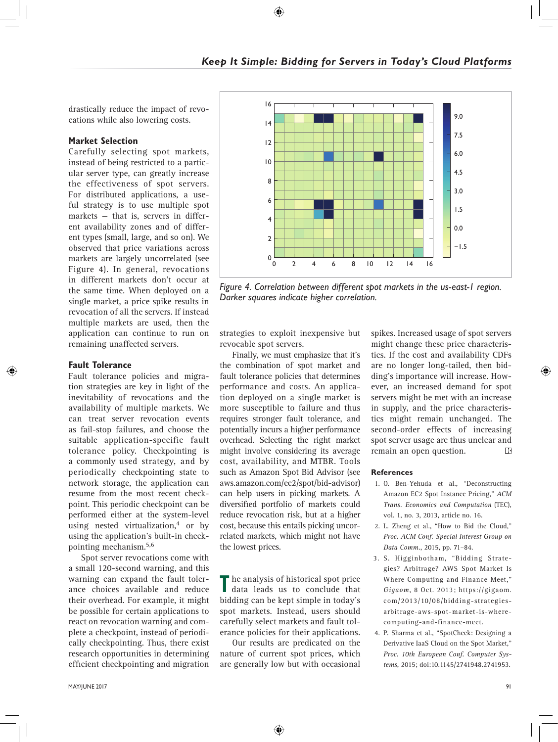drastically reduce the impact of revocations while also lowering costs.

### **Market Selection**

Carefully selecting spot markets, instead of being restricted to a particular server type, can greatly increase the effectiveness of spot servers. For distributed applications, a useful strategy is to use multiple spot markets — that is, servers in different availability zones and of different types (small, large, and so on). We observed that price variations across markets are largely uncorrelated (see Figure 4). In general, revocations in different markets don't occur at the same time. When deployed on a single market, a price spike results in revocation of all the servers. If instead multiple markets are used, then the application can continue to run on remaining unaffected servers.

## **Fault Tolerance**

Fault tolerance policies and migration strategies are key in light of the inevitability of revocations and the availability of multiple markets. We can treat server revocation events as fail-stop failures, and choose the suitable application-specific fault tolerance policy. Checkpointing is a commonly used strategy, and by periodically checkpointing state to network storage, the application can resume from the most recent checkpoint. This periodic checkpoint can be performed either at the system-level using nested virtualization,<sup>4</sup> or by using the application's built-in checkpointing mechanism.5,6

Spot server revocations come with a small 120-second warning, and this warning can expand the fault tolerance choices available and reduce their overhead. For example, it might be possible for certain applications to react on revocation warning and complete a checkpoint, instead of periodically checkpointing. Thus, there exist research opportunities in determining efficient checkpointing and migration



*Figure 4. Correlation between different spot markets in the us-east-1 region. Darker squares indicate higher correlation.*

strategies to exploit inexpensive but revocable spot servers.

Finally, we must emphasize that it's the combination of spot market and fault tolerance policies that determines performance and costs. An application deployed on a single market is more susceptible to failure and thus requires stronger fault tolerance, and potentially incurs a higher performance overhead. Selecting the right market might involve considering its average cost, availability, and MTBR. Tools such as Amazon Spot Bid Advisor (see aws.amazon.com/ec2/spot/bid-advisor) can help users in picking markets. A diversified portfolio of markets could reduce revocation risk, but at a higher cost, because this entails picking uncorrelated markets, which might not have the lowest prices.

**T** he analysis of historical spot price data leads us to conclude that bidding can be kept simple in today's spot markets. Instead, users should carefully select markets and fault tolerance policies for their applications.

Our results are predicated on the nature of current spot prices, which are generally low but with occasional spikes. Increased usage of spot servers might change these price characteristics. If the cost and availability CDFs are no longer long-tailed, then bidding's importance will increase. However, an increased demand for spot servers might be met with an increase in supply, and the price characteristics might remain unchanged. The second-order effects of increasing spot server usage are thus unclear and remain an open question.  $\mathbb{E}$ 

#### **References**

- 1. O. Ben-Yehuda et al., "Deconstructing Amazon EC2 Spot Instance Pricing," *ACM Trans. Economics and Computation* (TEC), vol. 1, no. 3, 2013, article no. 16.
- 2. L. Zheng et al., "How to Bid the Cloud," *Proc. ACM Conf. Special Interest Group on Data Comm.*, 2015, pp. 71–84.
- 3. S. Higginbotham, "Bidding Strategies? Arbitrage? AWS Spot Market Is Where Computing and Finance Meet," *Gigaom*, 8 Oct. 2013; https://gigaom. com/2013/10/08/bidding-strategiesarbitrage-aws-spot-market-is-wherecomputing-and-finance-meet.
- 4. P. Sharma et al., "SpotCheck: Designing a Derivative IaaS Cloud on the Spot Market," *Proc. 10th European Conf. Computer Systems*, 2015; doi:10.1145/2741948.2741953.